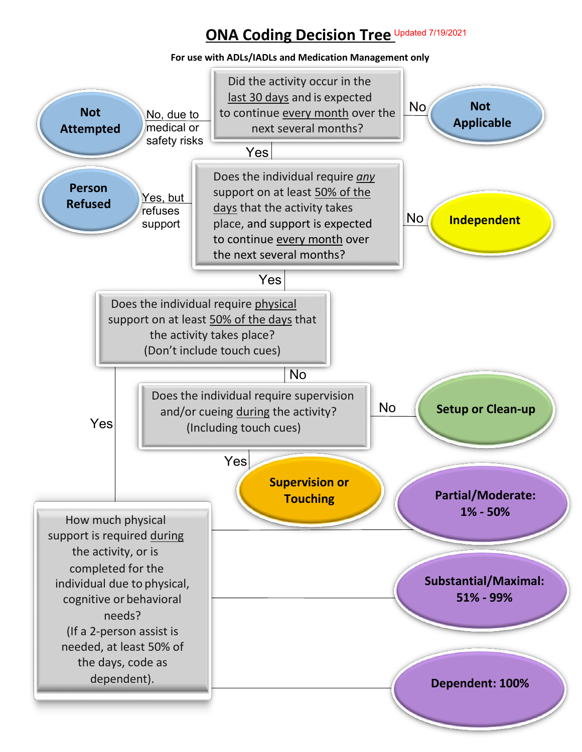## **ONA Coding Decision Tree** Updated 7/19/2021

**For use with ADLs/IADLs and Medication Management only**